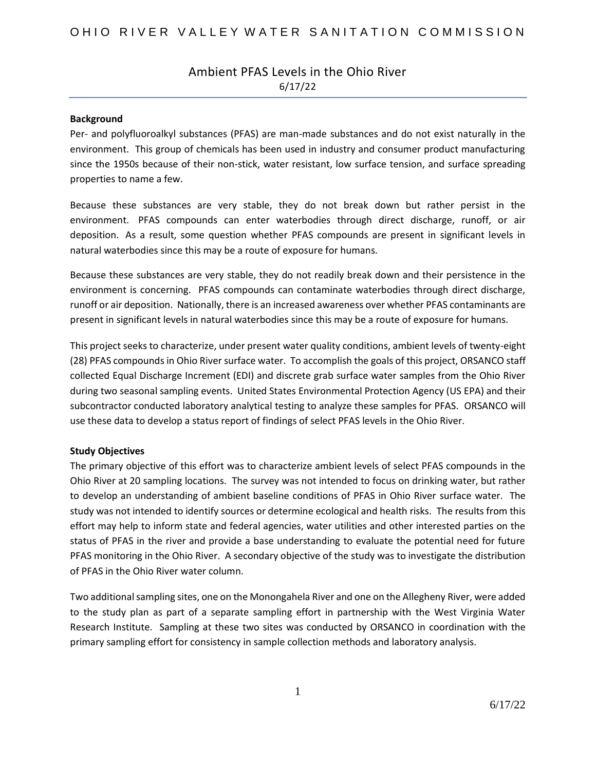### Ambient PFAS Levels in the Ohio River 6/17/22

#### **Background**

Per- and polyfluoroalkyl substances (PFAS) are man-made substances and do not exist naturally in the environment. This group of chemicals has been used in industry and consumer product manufacturing since the 1950s because of their non-stick, water resistant, low surface tension, and surface spreading properties to name a few.

Because these substances are very stable, they do not break down but rather persist in the environment. PFAS compounds can enter waterbodies through direct discharge, runoff, or air deposition. As a result, some question whether PFAS compounds are present in significant levels in natural waterbodies since this may be a route of exposure for humans.

Because these substances are very stable, they do not readily break down and their persistence in the environment is concerning. PFAS compounds can contaminate waterbodies through direct discharge, runoff or air deposition. Nationally, there is an increased awareness over whether PFAS contaminants are present in significant levels in natural waterbodies since this may be a route of exposure for humans.

This project seeks to characterize, under present water quality conditions, ambient levels of twenty-eight (28) PFAS compounds in Ohio River surface water. To accomplish the goals of this project, ORSANCO staff collected Equal Discharge Increment (EDI) and discrete grab surface water samples from the Ohio River during two seasonal sampling events. United States Environmental Protection Agency (US EPA) and their subcontractor conducted laboratory analytical testing to analyze these samples for PFAS. ORSANCO will use these data to develop a status report of findings of select PFAS levels in the Ohio River.

### **Study Objectives**

The primary objective of this effort was to characterize ambient levels of select PFAS compounds in the Ohio River at 20 sampling locations. The survey was not intended to focus on drinking water, but rather to develop an understanding of ambient baseline conditions of PFAS in Ohio River surface water. The study was not intended to identify sources or determine ecological and health risks. The results from this effort may help to inform state and federal agencies, water utilities and other interested parties on the status of PFAS in the river and provide a base understanding to evaluate the potential need for future PFAS monitoring in the Ohio River. A secondary objective of the study was to investigate the distribution of PFAS in the Ohio River water column.

Two additional sampling sites, one on the Monongahela River and one on the Allegheny River, were added to the study plan as part of a separate sampling effort in partnership with the West Virginia Water Research Institute. Sampling at these two sites was conducted by ORSANCO in coordination with the primary sampling effort for consistency in sample collection methods and laboratory analysis.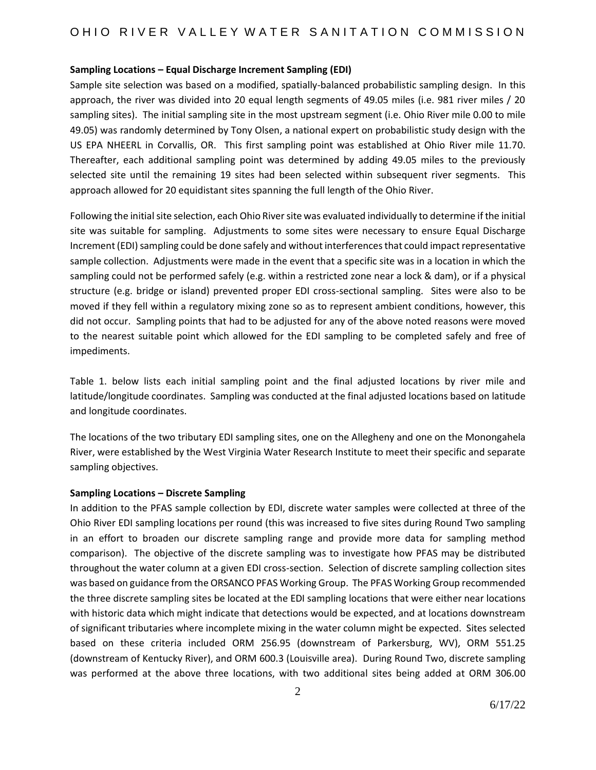### **Sampling Locations – Equal Discharge Increment Sampling (EDI)**

Sample site selection was based on a modified, spatially-balanced probabilistic sampling design. In this approach, the river was divided into 20 equal length segments of 49.05 miles (i.e. 981 river miles / 20 sampling sites). The initial sampling site in the most upstream segment (i.e. Ohio River mile 0.00 to mile 49.05) was randomly determined by Tony Olsen, a national expert on probabilistic study design with the US EPA NHEERL in Corvallis, OR. This first sampling point was established at Ohio River mile 11.70. Thereafter, each additional sampling point was determined by adding 49.05 miles to the previously selected site until the remaining 19 sites had been selected within subsequent river segments. This approach allowed for 20 equidistant sites spanning the full length of the Ohio River.

Following the initial site selection, each Ohio River site was evaluated individually to determine if the initial site was suitable for sampling. Adjustments to some sites were necessary to ensure Equal Discharge Increment (EDI) sampling could be done safely and without interferences that could impact representative sample collection. Adjustments were made in the event that a specific site was in a location in which the sampling could not be performed safely (e.g. within a restricted zone near a lock & dam), or if a physical structure (e.g. bridge or island) prevented proper EDI cross-sectional sampling. Sites were also to be moved if they fell within a regulatory mixing zone so as to represent ambient conditions, however, this did not occur. Sampling points that had to be adjusted for any of the above noted reasons were moved to the nearest suitable point which allowed for the EDI sampling to be completed safely and free of impediments.

Table 1. below lists each initial sampling point and the final adjusted locations by river mile and latitude/longitude coordinates. Sampling was conducted at the final adjusted locations based on latitude and longitude coordinates.

The locations of the two tributary EDI sampling sites, one on the Allegheny and one on the Monongahela River, were established by the West Virginia Water Research Institute to meet their specific and separate sampling objectives.

#### **Sampling Locations – Discrete Sampling**

In addition to the PFAS sample collection by EDI, discrete water samples were collected at three of the Ohio River EDI sampling locations per round (this was increased to five sites during Round Two sampling in an effort to broaden our discrete sampling range and provide more data for sampling method comparison). The objective of the discrete sampling was to investigate how PFAS may be distributed throughout the water column at a given EDI cross-section. Selection of discrete sampling collection sites was based on guidance from the ORSANCO PFAS Working Group. The PFAS Working Group recommended the three discrete sampling sites be located at the EDI sampling locations that were either near locations with historic data which might indicate that detections would be expected, and at locations downstream of significant tributaries where incomplete mixing in the water column might be expected. Sites selected based on these criteria included ORM 256.95 (downstream of Parkersburg, WV), ORM 551.25 (downstream of Kentucky River), and ORM 600.3 (Louisville area). During Round Two, discrete sampling was performed at the above three locations, with two additional sites being added at ORM 306.00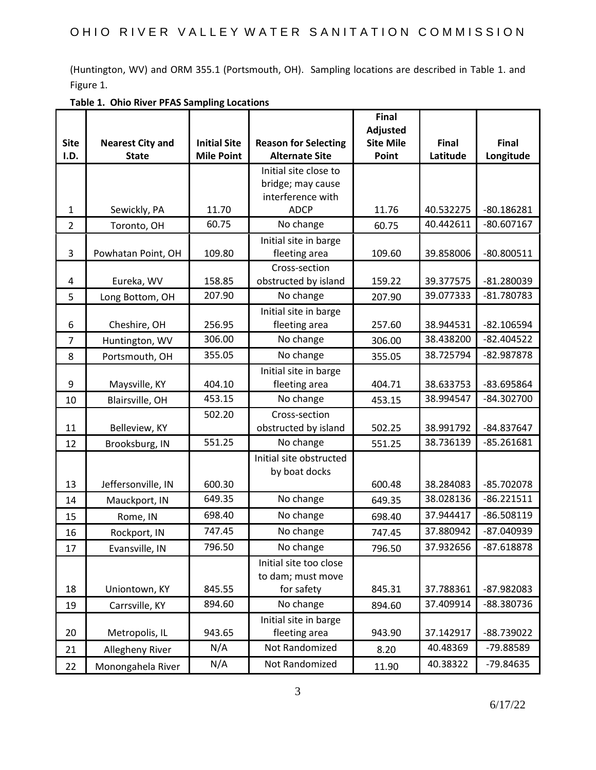(Huntington, WV) and ORM 355.1 (Portsmouth, OH). Sampling locations are described in Table 1. and Figure 1.

|                |                         |                     |                                        | <b>Final</b>                        |                        |                              |
|----------------|-------------------------|---------------------|----------------------------------------|-------------------------------------|------------------------|------------------------------|
| <b>Site</b>    | <b>Nearest City and</b> | <b>Initial Site</b> | <b>Reason for Selecting</b>            | <b>Adjusted</b><br><b>Site Mile</b> | <b>Final</b>           | Final                        |
| I.D.           | <b>State</b>            | <b>Mile Point</b>   | <b>Alternate Site</b>                  | Point                               | Latitude               | Longitude                    |
|                |                         |                     | Initial site close to                  |                                     |                        |                              |
|                |                         |                     | bridge; may cause                      |                                     |                        |                              |
|                |                         |                     | interference with                      |                                     |                        |                              |
| 1              | Sewickly, PA            | 11.70<br>60.75      | <b>ADCP</b><br>No change               | 11.76                               | 40.532275<br>40.442611 | $-80.186281$<br>$-80.607167$ |
| $\overline{2}$ | Toronto, OH             |                     |                                        | 60.75                               |                        |                              |
| 3              | Powhatan Point, OH      | 109.80              | Initial site in barge<br>fleeting area | 109.60                              | 39.858006              | $-80.800511$                 |
|                |                         |                     | Cross-section                          |                                     |                        |                              |
| 4              | Eureka, WV              | 158.85              | obstructed by island                   | 159.22                              | 39.377575              | -81.280039                   |
| 5              | Long Bottom, OH         | 207.90              | No change                              | 207.90                              | 39.077333              | $-81.780783$                 |
| 6              | Cheshire, OH            | 256.95              | Initial site in barge<br>fleeting area | 257.60                              | 38.944531              | $-82.106594$                 |
| 7              | Huntington, WV          | 306.00              | No change                              | 306.00                              | 38.438200              | $-82.404522$                 |
| 8              | Portsmouth, OH          | 355.05              | No change                              | 355.05                              | 38.725794              | -82.987878                   |
|                |                         |                     | Initial site in barge                  |                                     |                        |                              |
| 9              | Maysville, KY           | 404.10              | fleeting area                          | 404.71                              | 38.633753              | -83.695864                   |
| 10             | Blairsville, OH         | 453.15              | No change                              | 453.15                              | 38.994547              | $-84.302700$                 |
|                |                         | 502.20              | Cross-section                          |                                     |                        |                              |
| 11             | Belleview, KY           |                     | obstructed by island                   | 502.25                              | 38.991792              | -84.837647                   |
| 12             | Brooksburg, IN          | 551.25              | No change                              | 551.25                              | 38.736139              | $-85.261681$                 |
|                |                         |                     | Initial site obstructed                |                                     |                        |                              |
|                |                         |                     | by boat docks                          |                                     |                        |                              |
| 13             | Jeffersonville, IN      | 600.30<br>649.35    | No change                              | 600.48                              | 38.284083<br>38.028136 | $-85.702078$<br>$-86.221511$ |
| 14             | Mauckport, IN           |                     |                                        | 649.35                              |                        |                              |
| 15             | Rome, IN                | 698.40              | No change                              | 698.40                              | 37.944417              | $-86.508119$                 |
| 16             | Rockport, IN            | 747.45              | No change                              | 747.45                              | 37.880942              | -87.040939                   |
| 17             | Evansville, IN          | 796.50              | No change                              | 796.50                              | 37.932656              | 87.618878                    |
|                |                         |                     | Initial site too close                 |                                     |                        |                              |
| 18             | Uniontown, KY           | 845.55              | to dam; must move<br>for safety        | 845.31                              | 37.788361              | -87.982083                   |
| 19             | Carrsville, KY          | 894.60              | No change                              | 894.60                              | 37.409914              | -88.380736                   |
|                |                         |                     | Initial site in barge                  |                                     |                        |                              |
| 20             | Metropolis, IL          | 943.65              | fleeting area                          | 943.90                              | 37.142917              | -88.739022                   |
| 21             | Allegheny River         | N/A                 | Not Randomized                         | 8.20                                | 40.48369               | -79.88589                    |
| 22             | Monongahela River       | N/A                 | Not Randomized                         | 11.90                               | 40.38322               | -79.84635                    |

**Table 1. Ohio River PFAS Sampling Locations**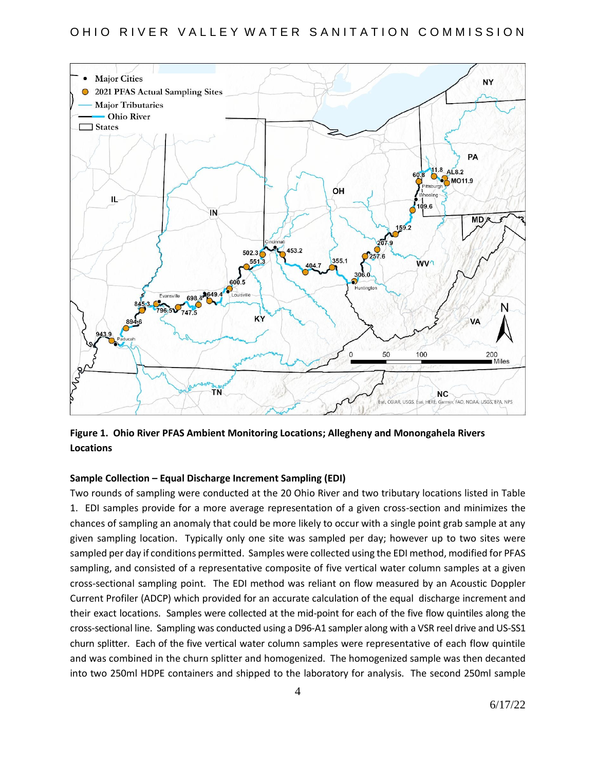### OHIO RIVER VALLEY WATER SANITATION COMMISSION



**Figure 1. Ohio River PFAS Ambient Monitoring Locations; Allegheny and Monongahela Rivers Locations**

#### **Sample Collection – Equal Discharge Increment Sampling (EDI)**

Two rounds of sampling were conducted at the 20 Ohio River and two tributary locations listed in Table 1. EDI samples provide for a more average representation of a given cross-section and minimizes the chances of sampling an anomaly that could be more likely to occur with a single point grab sample at any given sampling location. Typically only one site was sampled per day; however up to two sites were sampled per day if conditions permitted. Samples were collected using the EDI method, modified for PFAS sampling, and consisted of a representative composite of five vertical water column samples at a given cross-sectional sampling point. The EDI method was reliant on flow measured by an Acoustic Doppler Current Profiler (ADCP) which provided for an accurate calculation of the equal discharge increment and their exact locations. Samples were collected at the mid-point for each of the five flow quintiles along the cross-sectional line. Sampling was conducted using a D96-A1 sampler along with a VSR reel drive and US-SS1 churn splitter. Each of the five vertical water column samples were representative of each flow quintile and was combined in the churn splitter and homogenized. The homogenized sample was then decanted into two 250ml HDPE containers and shipped to the laboratory for analysis. The second 250ml sample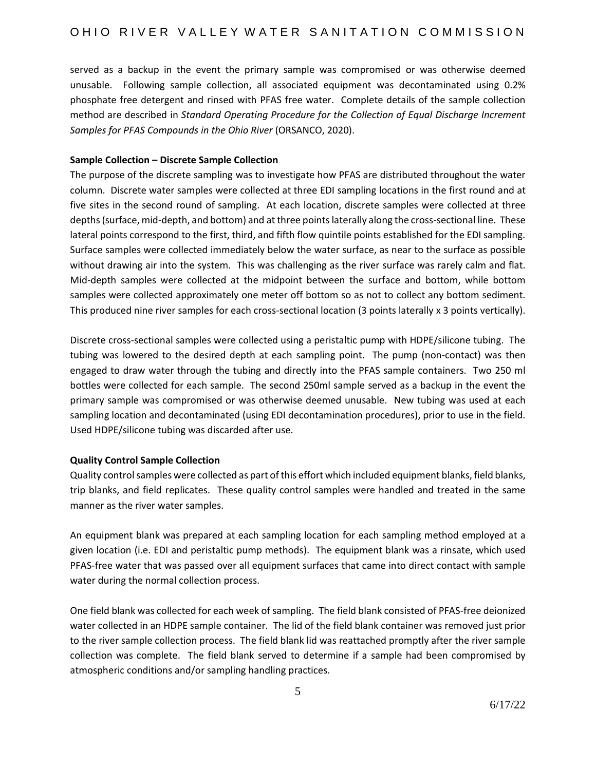served as a backup in the event the primary sample was compromised or was otherwise deemed unusable. Following sample collection, all associated equipment was decontaminated using 0.2% phosphate free detergent and rinsed with PFAS free water. Complete details of the sample collection method are described in *Standard Operating Procedure for the Collection of Equal Discharge Increment Samples for PFAS Compounds in the Ohio River* (ORSANCO, 2020).

### **Sample Collection – Discrete Sample Collection**

The purpose of the discrete sampling was to investigate how PFAS are distributed throughout the water column. Discrete water samples were collected at three EDI sampling locations in the first round and at five sites in the second round of sampling. At each location, discrete samples were collected at three depths (surface, mid-depth, and bottom) and at three points laterally along the cross-sectional line. These lateral points correspond to the first, third, and fifth flow quintile points established for the EDI sampling. Surface samples were collected immediately below the water surface, as near to the surface as possible without drawing air into the system. This was challenging as the river surface was rarely calm and flat. Mid-depth samples were collected at the midpoint between the surface and bottom, while bottom samples were collected approximately one meter off bottom so as not to collect any bottom sediment. This produced nine river samples for each cross-sectional location (3 points laterally x 3 points vertically).

Discrete cross-sectional samples were collected using a peristaltic pump with HDPE/silicone tubing. The tubing was lowered to the desired depth at each sampling point. The pump (non-contact) was then engaged to draw water through the tubing and directly into the PFAS sample containers. Two 250 ml bottles were collected for each sample. The second 250ml sample served as a backup in the event the primary sample was compromised or was otherwise deemed unusable. New tubing was used at each sampling location and decontaminated (using EDI decontamination procedures), prior to use in the field. Used HDPE/silicone tubing was discarded after use.

### **Quality Control Sample Collection**

Quality control samples were collected as part of this effort which included equipment blanks, field blanks, trip blanks, and field replicates. These quality control samples were handled and treated in the same manner as the river water samples.

An equipment blank was prepared at each sampling location for each sampling method employed at a given location (i.e. EDI and peristaltic pump methods). The equipment blank was a rinsate, which used PFAS-free water that was passed over all equipment surfaces that came into direct contact with sample water during the normal collection process.

One field blank was collected for each week of sampling. The field blank consisted of PFAS-free deionized water collected in an HDPE sample container. The lid of the field blank container was removed just prior to the river sample collection process. The field blank lid was reattached promptly after the river sample collection was complete. The field blank served to determine if a sample had been compromised by atmospheric conditions and/or sampling handling practices.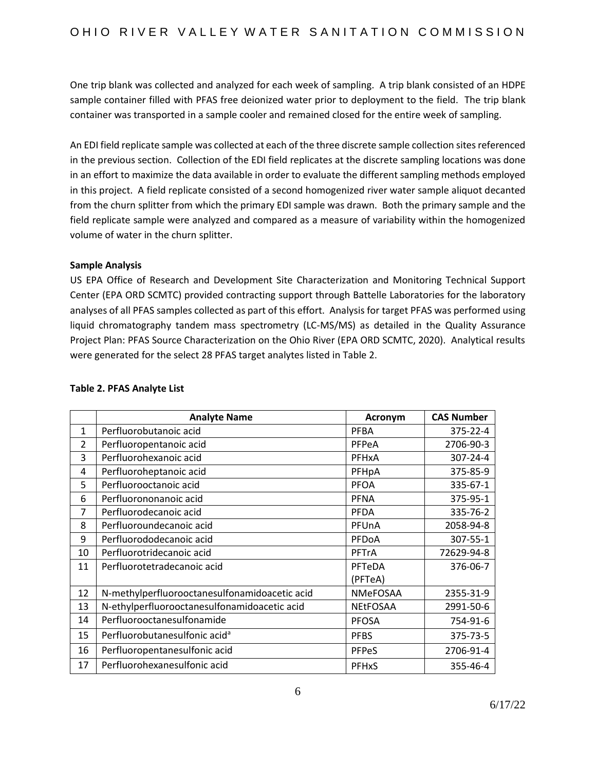One trip blank was collected and analyzed for each week of sampling. A trip blank consisted of an HDPE sample container filled with PFAS free deionized water prior to deployment to the field. The trip blank container was transported in a sample cooler and remained closed for the entire week of sampling.

An EDI field replicate sample was collected at each of the three discrete sample collection sites referenced in the previous section. Collection of the EDI field replicates at the discrete sampling locations was done in an effort to maximize the data available in order to evaluate the different sampling methods employed in this project. A field replicate consisted of a second homogenized river water sample aliquot decanted from the churn splitter from which the primary EDI sample was drawn. Both the primary sample and the field replicate sample were analyzed and compared as a measure of variability within the homogenized volume of water in the churn splitter.

### **Sample Analysis**

US EPA Office of Research and Development Site Characterization and Monitoring Technical Support Center (EPA ORD SCMTC) provided contracting support through Battelle Laboratories for the laboratory analyses of all PFAS samples collected as part of this effort. Analysis for target PFAS was performed using liquid chromatography tandem mass spectrometry (LC-MS/MS) as detailed in the Quality Assurance Project Plan: PFAS Source Characterization on the Ohio River (EPA ORD SCMTC, 2020). Analytical results were generated for the select 28 PFAS target analytes listed in Table 2.

|                | <b>Analyte Name</b>                           | <b>Acronym</b>  | <b>CAS Number</b> |
|----------------|-----------------------------------------------|-----------------|-------------------|
| $\mathbf{1}$   | Perfluorobutanoic acid                        | <b>PFBA</b>     | 375-22-4          |
| $\overline{2}$ | Perfluoropentanoic acid                       | PFPeA           | 2706-90-3         |
| 3              | Perfluorohexanoic acid                        | PFHxA           | 307-24-4          |
| 4              | Perfluoroheptanoic acid                       | PFHpA           | 375-85-9          |
| 5              | Perfluorooctanoic acid                        | <b>PFOA</b>     | 335-67-1          |
| 6              | Perfluorononanoic acid                        | <b>PFNA</b>     | 375-95-1          |
| 7              | Perfluorodecanoic acid                        | <b>PFDA</b>     | 335-76-2          |
| 8              | Perfluoroundecanoic acid                      | PFUnA           | 2058-94-8         |
| 9              | Perfluorododecanoic acid                      | PFDoA           | 307-55-1          |
| 10             | Perfluorotridecanoic acid                     | <b>PFTrA</b>    | 72629-94-8        |
| 11             | Perfluorotetradecanoic acid                   | PFTeDA          | 376-06-7          |
|                |                                               | (PFTeA)         |                   |
| 12             | N-methylperfluorooctanesulfonamidoacetic acid | <b>NMeFOSAA</b> | 2355-31-9         |
| 13             | N-ethylperfluorooctanesulfonamidoacetic acid  | <b>NEtFOSAA</b> | 2991-50-6         |
| 14             | Perfluorooctanesulfonamide                    | <b>PFOSA</b>    | 754-91-6          |
| 15             | Perfluorobutanesulfonic acid <sup>a</sup>     | <b>PFBS</b>     | 375-73-5          |
| 16             | Perfluoropentanesulfonic acid                 | <b>PFPeS</b>    | 2706-91-4         |
| 17             | Perfluorohexanesulfonic acid                  | <b>PFHxS</b>    | 355-46-4          |

### **Table 2. PFAS Analyte List**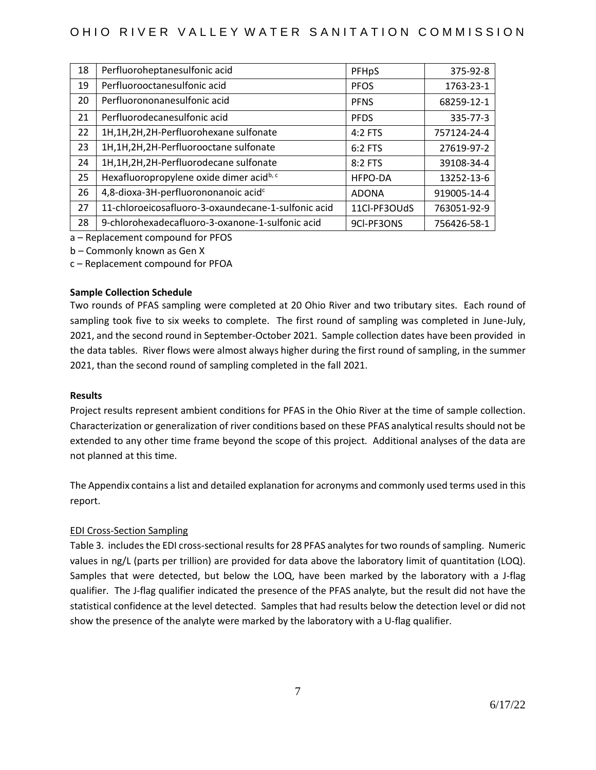### OHIO RIVER VALLEY WATER SANITATION COMMISSION

| 18 | Perfluoroheptanesulfonic acid                        | PFHpS        | 375-92-8    |
|----|------------------------------------------------------|--------------|-------------|
| 19 | Perfluorooctanesulfonic acid                         | <b>PFOS</b>  | 1763-23-1   |
| 20 | Perfluorononanesulfonic acid                         | <b>PFNS</b>  | 68259-12-1  |
| 21 | Perfluorodecanesulfonic acid                         | <b>PFDS</b>  | 335-77-3    |
| 22 | 1H,1H,2H,2H-Perfluorohexane sulfonate                | $4:2$ FTS    | 757124-24-4 |
| 23 | 1H,1H,2H,2H-Perfluorooctane sulfonate                | 6:2 FTS      | 27619-97-2  |
| 24 | 1H,1H,2H,2H-Perfluorodecane sulfonate                | 8:2 FTS      | 39108-34-4  |
| 25 | Hexafluoropropylene oxide dimer acid <sup>b, c</sup> | HFPO-DA      | 13252-13-6  |
| 26 | 4,8-dioxa-3H-perfluorononanoic acid <sup>c</sup>     | <b>ADONA</b> | 919005-14-4 |
| 27 | 11-chloroeicosafluoro-3-oxaundecane-1-sulfonic acid  | 11Cl-PF3OUdS | 763051-92-9 |
| 28 | 9-chlorohexadecafluoro-3-oxanone-1-sulfonic acid     | 9CI-PF3ONS   | 756426-58-1 |

a – Replacement compound for PFOS

b – Commonly known as Gen X

c – Replacement compound for PFOA

### **Sample Collection Schedule**

Two rounds of PFAS sampling were completed at 20 Ohio River and two tributary sites. Each round of sampling took five to six weeks to complete. The first round of sampling was completed in June-July, 2021, and the second round in September-October 2021. Sample collection dates have been provided in the data tables. River flows were almost always higher during the first round of sampling, in the summer 2021, than the second round of sampling completed in the fall 2021.

#### **Results**

Project results represent ambient conditions for PFAS in the Ohio River at the time of sample collection. Characterization or generalization of river conditions based on these PFAS analytical results should not be extended to any other time frame beyond the scope of this project. Additional analyses of the data are not planned at this time.

The Appendix contains a list and detailed explanation for acronyms and commonly used terms used in this report.

### EDI Cross-Section Sampling

Table 3. includes the EDI cross-sectional resultsfor 28 PFAS analytes for two rounds of sampling. Numeric values in ng/L (parts per trillion) are provided for data above the laboratory limit of quantitation (LOQ). Samples that were detected, but below the LOQ, have been marked by the laboratory with a J-flag qualifier. The J-flag qualifier indicated the presence of the PFAS analyte, but the result did not have the statistical confidence at the level detected. Samples that had results below the detection level or did not show the presence of the analyte were marked by the laboratory with a U-flag qualifier.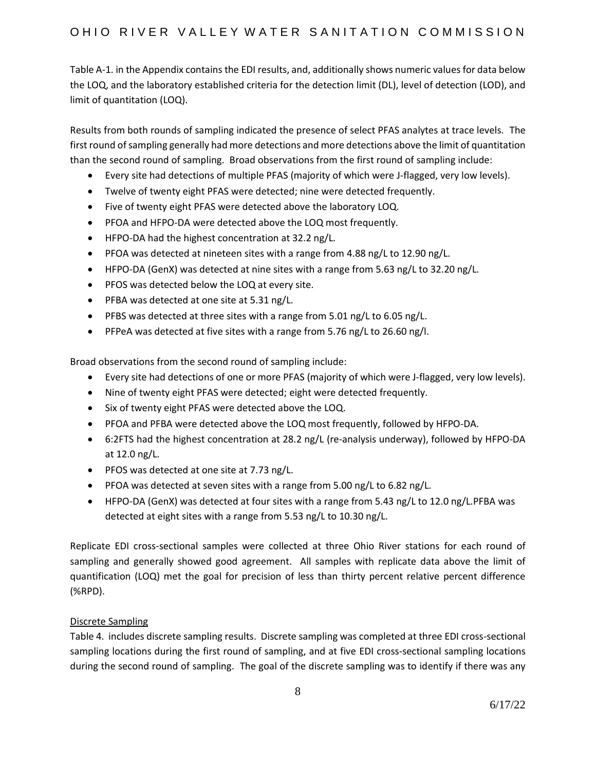Table A-1. in the Appendix contains the EDI results, and, additionally shows numeric values for data below the LOQ, and the laboratory established criteria for the detection limit (DL), level of detection (LOD), and limit of quantitation (LOQ).

Results from both rounds of sampling indicated the presence of select PFAS analytes at trace levels. The first round of sampling generally had more detections and more detections above the limit of quantitation than the second round of sampling. Broad observations from the first round of sampling include:

- Every site had detections of multiple PFAS (majority of which were J-flagged, very low levels).
- Twelve of twenty eight PFAS were detected; nine were detected frequently.
- Five of twenty eight PFAS were detected above the laboratory LOQ.
- PFOA and HFPO-DA were detected above the LOQ most frequently.
- HFPO-DA had the highest concentration at 32.2 ng/L.
- PFOA was detected at nineteen sites with a range from 4.88 ng/L to 12.90 ng/L.
- HFPO-DA (GenX) was detected at nine sites with a range from 5.63 ng/L to 32.20 ng/L.
- PFOS was detected below the LOQ at every site.
- PFBA was detected at one site at 5.31 ng/L.
- PFBS was detected at three sites with a range from 5.01 ng/L to 6.05 ng/L.
- PFPeA was detected at five sites with a range from 5.76 ng/L to 26.60 ng/l.

Broad observations from the second round of sampling include:

- Every site had detections of one or more PFAS (majority of which were J-flagged, very low levels).
- Nine of twenty eight PFAS were detected; eight were detected frequently.
- Six of twenty eight PFAS were detected above the LOQ.
- PFOA and PFBA were detected above the LOQ most frequently, followed by HFPO-DA.
- 6:2FTS had the highest concentration at 28.2 ng/L (re-analysis underway), followed by HFPO-DA at 12.0 ng/L.
- PFOS was detected at one site at 7.73 ng/L.
- PFOA was detected at seven sites with a range from 5.00 ng/L to 6.82 ng/L.
- HFPO-DA (GenX) was detected at four sites with a range from 5.43 ng/L to 12.0 ng/L.PFBA was detected at eight sites with a range from 5.53 ng/L to 10.30 ng/L.

Replicate EDI cross-sectional samples were collected at three Ohio River stations for each round of sampling and generally showed good agreement. All samples with replicate data above the limit of quantification (LOQ) met the goal for precision of less than thirty percent relative percent difference (%RPD).

### Discrete Sampling

Table 4. includes discrete sampling results. Discrete sampling was completed at three EDI cross-sectional sampling locations during the first round of sampling, and at five EDI cross-sectional sampling locations during the second round of sampling. The goal of the discrete sampling was to identify if there was any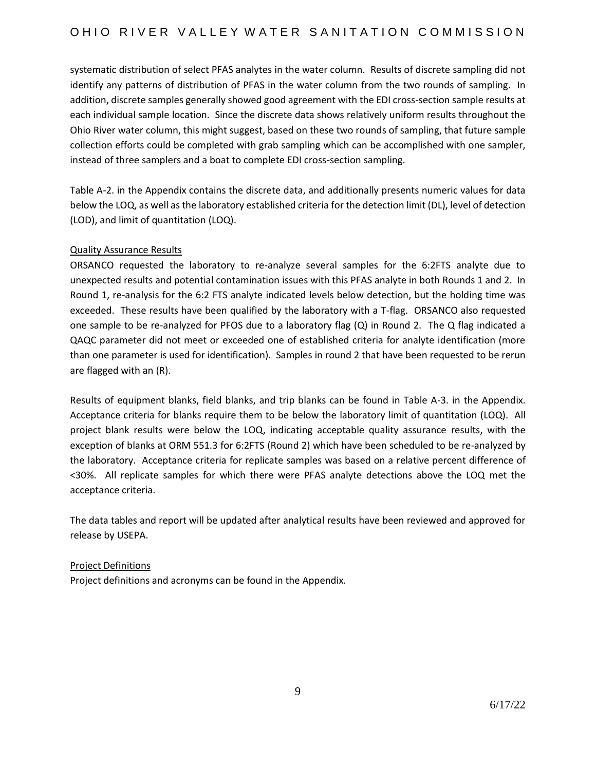systematic distribution of select PFAS analytes in the water column. Results of discrete sampling did not identify any patterns of distribution of PFAS in the water column from the two rounds of sampling. In addition, discrete samples generally showed good agreement with the EDI cross-section sample results at each individual sample location. Since the discrete data shows relatively uniform results throughout the Ohio River water column, this might suggest, based on these two rounds of sampling, that future sample collection efforts could be completed with grab sampling which can be accomplished with one sampler, instead of three samplers and a boat to complete EDI cross-section sampling.

Table A-2. in the Appendix contains the discrete data, and additionally presents numeric values for data below the LOQ, as well as the laboratory established criteria for the detection limit (DL), level of detection (LOD), and limit of quantitation (LOQ).

### Quality Assurance Results

ORSANCO requested the laboratory to re-analyze several samples for the 6:2FTS analyte due to unexpected results and potential contamination issues with this PFAS analyte in both Rounds 1 and 2. In Round 1, re-analysis for the 6:2 FTS analyte indicated levels below detection, but the holding time was exceeded. These results have been qualified by the laboratory with a T-flag. ORSANCO also requested one sample to be re-analyzed for PFOS due to a laboratory flag (Q) in Round 2. The Q flag indicated a QAQC parameter did not meet or exceeded one of established criteria for analyte identification (more than one parameter is used for identification). Samples in round 2 that have been requested to be rerun are flagged with an (R).

Results of equipment blanks, field blanks, and trip blanks can be found in Table A-3. in the Appendix. Acceptance criteria for blanks require them to be below the laboratory limit of quantitation (LOQ). All project blank results were below the LOQ, indicating acceptable quality assurance results, with the exception of blanks at ORM 551.3 for 6:2FTS (Round 2) which have been scheduled to be re-analyzed by the laboratory. Acceptance criteria for replicate samples was based on a relative percent difference of <30%. All replicate samples for which there were PFAS analyte detections above the LOQ met the acceptance criteria.

The data tables and report will be updated after analytical results have been reviewed and approved for release by USEPA.

### Project Definitions

Project definitions and acronyms can be found in the Appendix.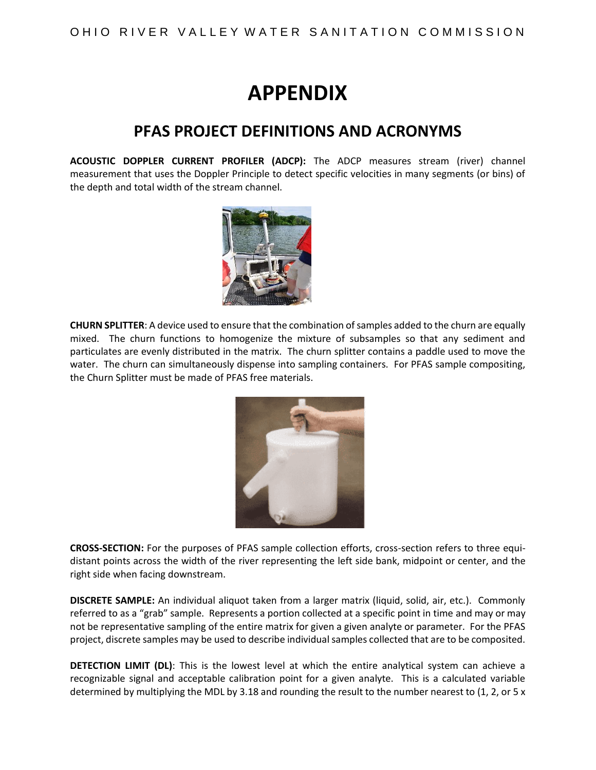# **APPENDIX**

## **PFAS PROJECT DEFINITIONS AND ACRONYMS**

**ACOUSTIC DOPPLER CURRENT PROFILER (ADCP):** The ADCP measures stream (river) channel measurement that uses the Doppler Principle to detect specific velocities in many segments (or bins) of the depth and total width of the stream channel.



**CHURN SPLITTER**: A device used to ensure that the combination of samples added to the churn are equally mixed. The churn functions to homogenize the mixture of subsamples so that any sediment and particulates are evenly distributed in the matrix. The churn splitter contains a paddle used to move the water. The churn can simultaneously dispense into sampling containers. For PFAS sample compositing, the Churn Splitter must be made of PFAS free materials.



**CROSS-SECTION:** For the purposes of PFAS sample collection efforts, cross-section refers to three equidistant points across the width of the river representing the left side bank, midpoint or center, and the right side when facing downstream.

**DISCRETE SAMPLE:** An individual aliquot taken from a larger matrix (liquid, solid, air, etc.). Commonly referred to as a "grab" sample. Represents a portion collected at a specific point in time and may or may not be representative sampling of the entire matrix for given a given analyte or parameter. For the PFAS project, discrete samples may be used to describe individual samples collected that are to be composited.

**DETECTION LIMIT (DL)**: This is the lowest level at which the entire analytical system can achieve a recognizable signal and acceptable calibration point for a given analyte. This is a calculated variable determined by multiplying the MDL by 3.18 and rounding the result to the number nearest to (1, 2, or 5 x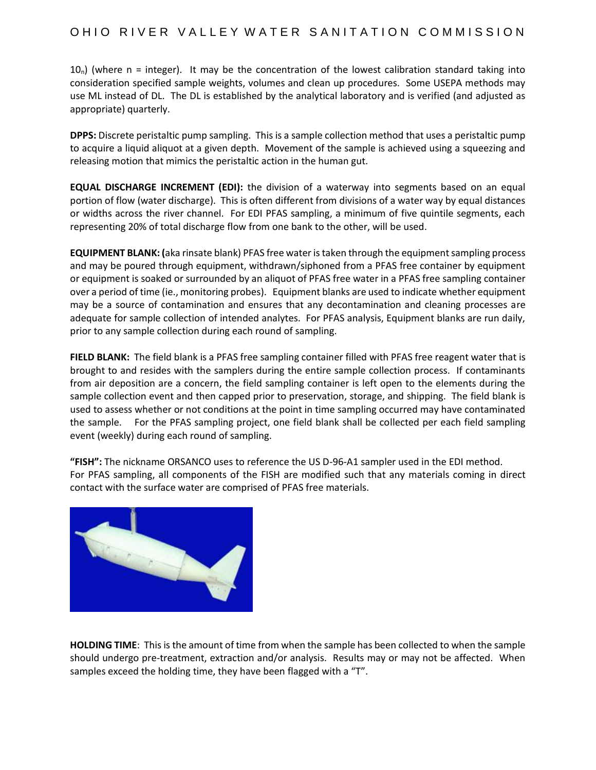### OHIO RIVER VALLEY WATER SANITATION COMMISSION

 $10<sub>n</sub>$ ) (where n = integer). It may be the concentration of the lowest calibration standard taking into consideration specified sample weights, volumes and clean up procedures. Some USEPA methods may use ML instead of DL. The DL is established by the analytical laboratory and is verified (and adjusted as appropriate) quarterly.

**DPPS:** Discrete peristaltic pump sampling. This is a sample collection method that uses a peristaltic pump to acquire a liquid aliquot at a given depth. Movement of the sample is achieved using a squeezing and releasing motion that mimics the peristaltic action in the human gut.

**EQUAL DISCHARGE INCREMENT (EDI):** the division of a waterway into segments based on an equal portion of flow (water discharge). This is often different from divisions of a water way by equal distances or widths across the river channel. For EDI PFAS sampling, a minimum of five quintile segments, each representing 20% of total discharge flow from one bank to the other, will be used.

**EQUIPMENT BLANK: (**aka rinsate blank) PFAS free water is taken through the equipment sampling process and may be poured through equipment, withdrawn/siphoned from a PFAS free container by equipment or equipment is soaked or surrounded by an aliquot of PFAS free water in a PFAS free sampling container over a period of time (ie., monitoring probes). Equipment blanks are used to indicate whether equipment may be a source of contamination and ensures that any decontamination and cleaning processes are adequate for sample collection of intended analytes. For PFAS analysis, Equipment blanks are run daily, prior to any sample collection during each round of sampling.

**FIELD BLANK:** The field blank is a PFAS free sampling container filled with PFAS free reagent water that is brought to and resides with the samplers during the entire sample collection process. If contaminants from air deposition are a concern, the field sampling container is left open to the elements during the sample collection event and then capped prior to preservation, storage, and shipping. The field blank is used to assess whether or not conditions at the point in time sampling occurred may have contaminated the sample. For the PFAS sampling project, one field blank shall be collected per each field sampling event (weekly) during each round of sampling.

**"FISH":** The nickname ORSANCO uses to reference the US D-96-A1 sampler used in the EDI method. For PFAS sampling, all components of the FISH are modified such that any materials coming in direct contact with the surface water are comprised of PFAS free materials.



**HOLDING TIME**: This is the amount of time from when the sample has been collected to when the sample should undergo pre-treatment, extraction and/or analysis. Results may or may not be affected. When samples exceed the holding time, they have been flagged with a "T".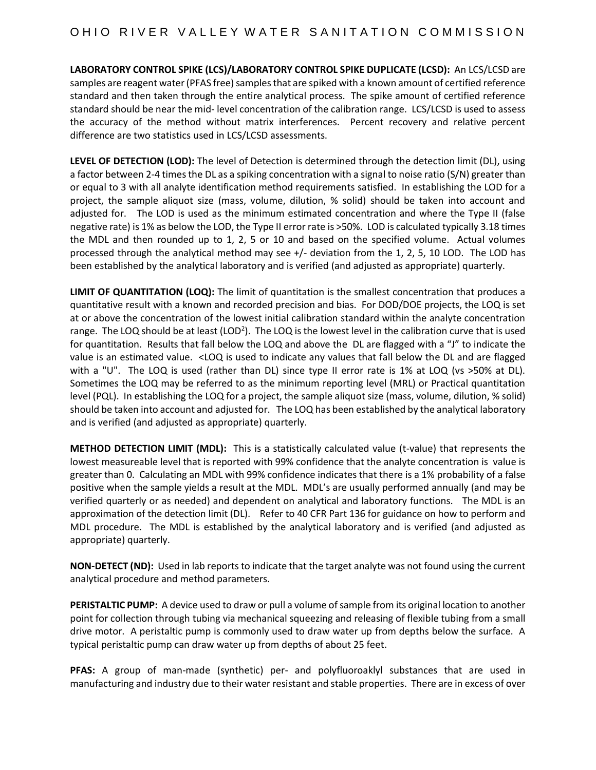**LABORATORY CONTROL SPIKE (LCS)/LABORATORY CONTROL SPIKE DUPLICATE (LCSD):** An LCS/LCSD are samples are reagent water (PFAS free) samples that are spiked with a known amount of certified reference standard and then taken through the entire analytical process. The spike amount of certified reference standard should be near the mid- level concentration of the calibration range. LCS/LCSD is used to assess the accuracy of the method without matrix interferences. Percent recovery and relative percent difference are two statistics used in LCS/LCSD assessments.

**LEVEL OF DETECTION (LOD):** The level of Detection is determined through the detection limit (DL), using a factor between 2-4 times the DL as a spiking concentration with a signal to noise ratio (S/N) greater than or equal to 3 with all analyte identification method requirements satisfied. In establishing the LOD for a project, the sample aliquot size (mass, volume, dilution, % solid) should be taken into account and adjusted for. The LOD is used as the minimum estimated concentration and where the Type II (false negative rate) is 1% as below the LOD, the Type II error rate is >50%. LOD is calculated typically 3.18 times the MDL and then rounded up to 1, 2, 5 or 10 and based on the specified volume. Actual volumes processed through the analytical method may see +/- deviation from the 1, 2, 5, 10 LOD. The LOD has been established by the analytical laboratory and is verified (and adjusted as appropriate) quarterly.

**LIMIT OF QUANTITATION (LOQ):** The limit of quantitation is the smallest concentration that produces a quantitative result with a known and recorded precision and bias. For DOD/DOE projects, the LOQ is set at or above the concentration of the lowest initial calibration standard within the analyte concentration range. The LOQ should be at least (LOD<sup>2</sup>). The LOQ is the lowest level in the calibration curve that is used for quantitation. Results that fall below the LOQ and above the DL are flagged with a "J" to indicate the value is an estimated value. <LOQ is used to indicate any values that fall below the DL and are flagged with a "U". The LOQ is used (rather than DL) since type II error rate is 1% at LOQ (vs > 50% at DL). Sometimes the LOQ may be referred to as the minimum reporting level (MRL) or Practical quantitation level (PQL). In establishing the LOQ for a project, the sample aliquot size (mass, volume, dilution, % solid) should be taken into account and adjusted for. The LOQ has been established by the analytical laboratory and is verified (and adjusted as appropriate) quarterly.

**METHOD DETECTION LIMIT (MDL):** This is a statistically calculated value (t-value) that represents the lowest measureable level that is reported with 99% confidence that the analyte concentration is value is greater than 0. Calculating an MDL with 99% confidence indicates that there is a 1% probability of a false positive when the sample yields a result at the MDL. MDL's are usually performed annually (and may be verified quarterly or as needed) and dependent on analytical and laboratory functions. The MDL is an approximation of the detection limit (DL). Refer to 40 CFR Part 136 for guidance on how to perform and MDL procedure. The MDL is established by the analytical laboratory and is verified (and adjusted as appropriate) quarterly.

**NON-DETECT (ND):** Used in lab reports to indicate that the target analyte was not found using the current analytical procedure and method parameters.

**PERISTALTIC PUMP:** A device used to draw or pull a volume of sample from its original location to another point for collection through tubing via mechanical squeezing and releasing of flexible tubing from a small drive motor. A peristaltic pump is commonly used to draw water up from depths below the surface. A typical peristaltic pump can draw water up from depths of about 25 feet.

**PFAS:** A group of man-made (synthetic) per- and polyfluoroaklyl substances that are used in manufacturing and industry due to their water resistant and stable properties. There are in excess of over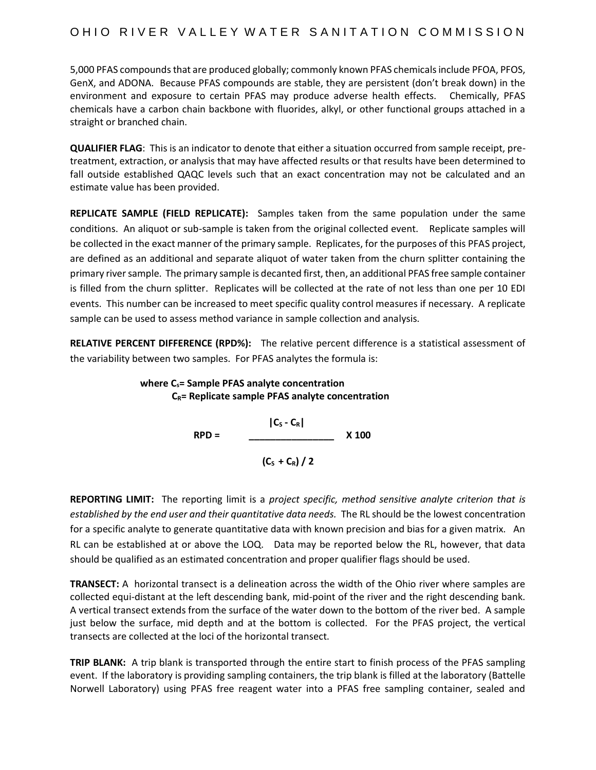5,000 PFAS compounds that are produced globally; commonly known PFAS chemicals include PFOA, PFOS, GenX, and ADONA. Because PFAS compounds are stable, they are persistent (don't break down) in the environment and exposure to certain PFAS may produce adverse health effects. Chemically, PFAS chemicals have a carbon chain backbone with fluorides, alkyl, or other functional groups attached in a straight or branched chain.

**QUALIFIER FLAG**: This is an indicator to denote that either a situation occurred from sample receipt, pretreatment, extraction, or analysis that may have affected results or that results have been determined to fall outside established QAQC levels such that an exact concentration may not be calculated and an estimate value has been provided.

**REPLICATE SAMPLE (FIELD REPLICATE):** Samples taken from the same population under the same conditions. An aliquot or sub-sample is taken from the original collected event. Replicate samples will be collected in the exact manner of the primary sample. Replicates, for the purposes of this PFAS project, are defined as an additional and separate aliquot of water taken from the churn splitter containing the primary river sample. The primary sample is decanted first, then, an additional PFAS free sample container is filled from the churn splitter. Replicates will be collected at the rate of not less than one per 10 EDI events. This number can be increased to meet specific quality control measures if necessary. A replicate sample can be used to assess method variance in sample collection and analysis.

**RELATIVE PERCENT DIFFERENCE (RPD%):** The relative percent difference is a statistical assessment of the variability between two samples. For PFAS analytes the formula is:

> **where Cs= Sample PFAS analyte concentration CR= Replicate sample PFAS analyte concentration**

 **|C<sup>S</sup> - CR| RPD = \_\_\_\_\_\_\_\_\_\_\_\_\_\_\_\_ X 100**  $(C_5 + C_6) / 2$ 

**REPORTING LIMIT:** The reporting limit is a *project specific, method sensitive analyte criterion that is established by the end user and their quantitative data needs.* The RL should be the lowest concentration for a specific analyte to generate quantitative data with known precision and bias for a given matrix. An RL can be established at or above the LOQ. Data may be reported below the RL, however, that data should be qualified as an estimated concentration and proper qualifier flags should be used.

**TRANSECT:** A horizontal transect is a delineation across the width of the Ohio river where samples are collected equi-distant at the left descending bank, mid-point of the river and the right descending bank. A vertical transect extends from the surface of the water down to the bottom of the river bed. A sample just below the surface, mid depth and at the bottom is collected. For the PFAS project, the vertical transects are collected at the loci of the horizontal transect.

**TRIP BLANK:** A trip blank is transported through the entire start to finish process of the PFAS sampling event. If the laboratory is providing sampling containers, the trip blank is filled at the laboratory (Battelle Norwell Laboratory) using PFAS free reagent water into a PFAS free sampling container, sealed and